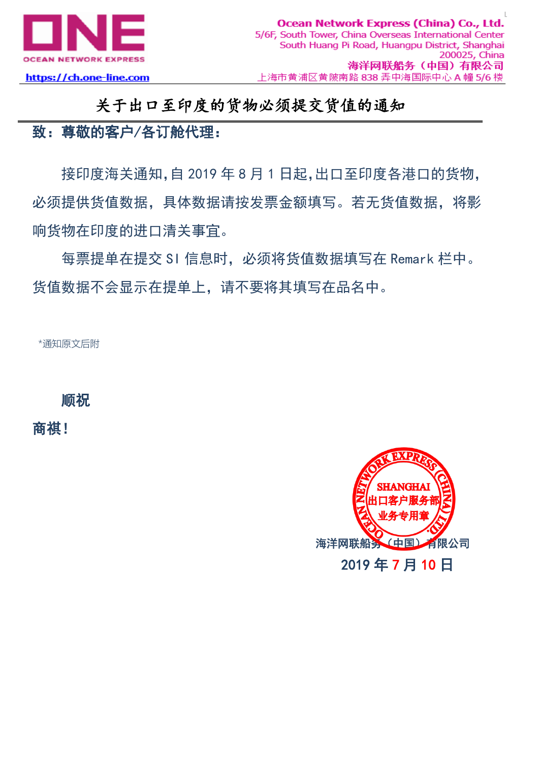

https://ch.one-line.com

## 关于出口至印度的货物必须提交货值的通知

# 致:尊敬的客户/各订舱代理:

接印度海关通知,自 2019 年 8 月 1 日起,出口至印度各港口的货物, 必须提供货值数据,具体数据请按发票金额填写。若无货值数据,将影 响货物在印度的进口清关事宜。

每票提单在提交 SI 信息时,必须将货值数据填写在 Remark 栏中。 货值数据不会显示在提单上,请不要将其填写在品名中。

\*通知原文后附

顺祝

商祺!

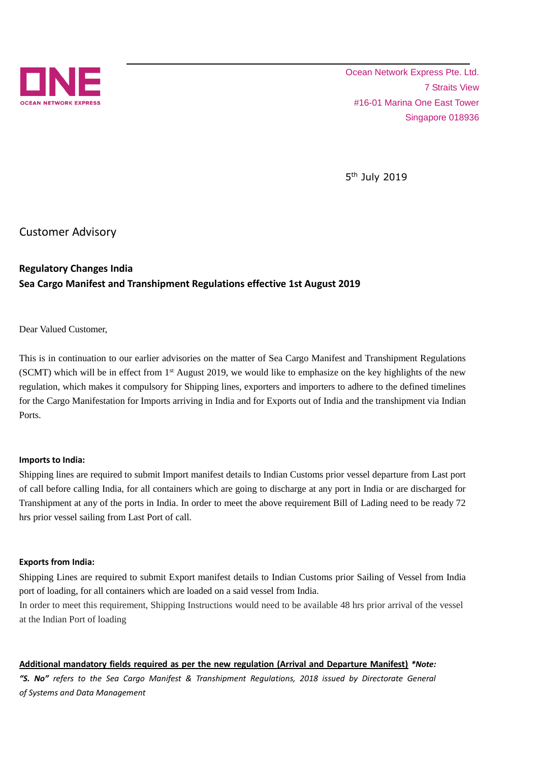

Ocean Network Express Pte. Ltd. 7 Straits View #16-01 Marina One East Tower Singapore 018936

5<sup>th</sup> July 2019

Customer Advisory

### **Regulatory Changes India Sea Cargo Manifest and Transhipment Regulations effective 1st August 2019**

Dear Valued Customer,

This is in continuation to our earlier advisories on the matter of Sea Cargo Manifest and Transhipment Regulations (SCMT) which will be in effect from  $1<sup>st</sup>$  August 2019, we would like to emphasize on the key highlights of the new regulation, which makes it compulsory for Shipping lines, exporters and importers to adhere to the defined timelines for the Cargo Manifestation for Imports arriving in India and for Exports out of India and the transhipment via Indian Ports.

#### **Imports to India:**

Shipping lines are required to submit Import manifest details to Indian Customs prior vessel departure from Last port of call before calling India, for all containers which are going to discharge at any port in India or are discharged for Transhipment at any of the ports in India. In order to meet the above requirement Bill of Lading need to be ready 72 hrs prior vessel sailing from Last Port of call.

#### **Exports from India:**

Shipping Lines are required to submit Export manifest details to Indian Customs prior Sailing of Vessel from India port of loading, for all containers which are loaded on a said vessel from India.

In order to meet this requirement, Shipping Instructions would need to be available 48 hrs prior arrival of the vessel at the Indian Port of loading

#### **Additional mandatory fields required as per the new regulation (Arrival and Departure Manifest)** *\*Note:*

*"S. No" refers to the Sea Cargo Manifest & Transhipment Regulations, 2018 issued by Directorate General of Systems and Data Management*